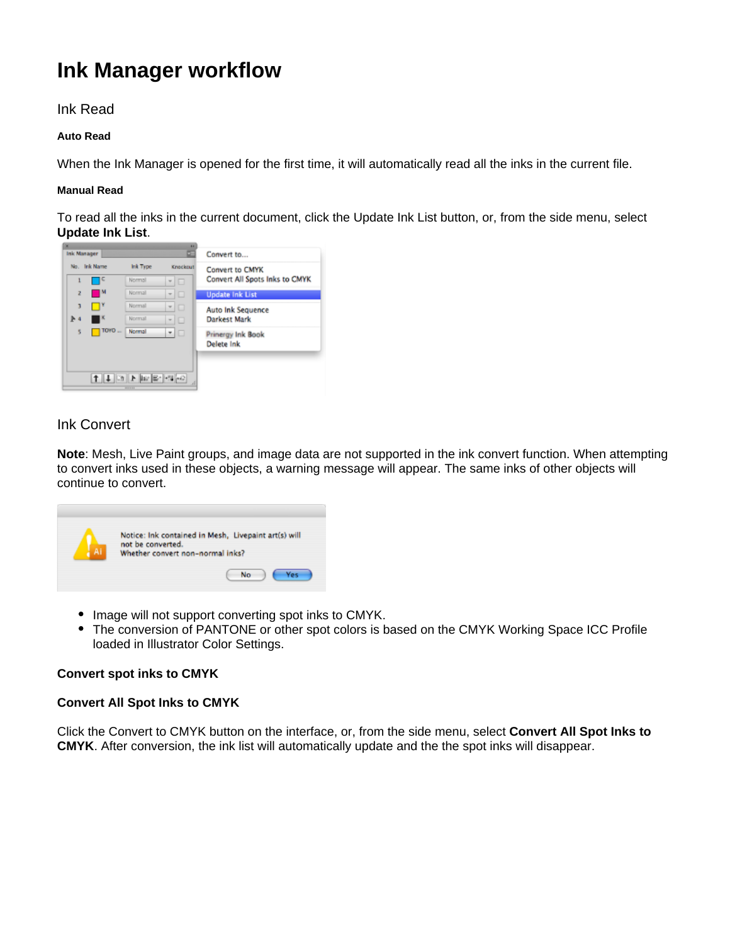# **Ink Manager workflow**

## Ink Read

#### **Auto Read**

When the Ink Manager is opened for the first time, it will automatically read all the inks in the current file.

#### **Manual Read**

To read all the inks in the current document, click the Update Ink List button, or, from the side menu, select **Update Ink List**.



# Ink Convert

**Note**: Mesh, Live Paint groups, and image data are not supported in the ink convert function. When attempting to convert inks used in these objects, a warning message will appear. The same inks of other objects will continue to convert.



- $\bullet$ Image will not support converting spot inks to CMYK.
- $\bullet$ The conversion of PANTONE or other spot colors is based on the CMYK Working Space ICC Profile loaded in Illustrator Color Settings.

## **Convert spot inks to CMYK**

## **Convert All Spot Inks to CMYK**

Click the Convert to CMYK button on the interface, or, from the side menu, select **Convert All Spot Inks to CMYK**. After conversion, the ink list will automatically update and the the spot inks will disappear.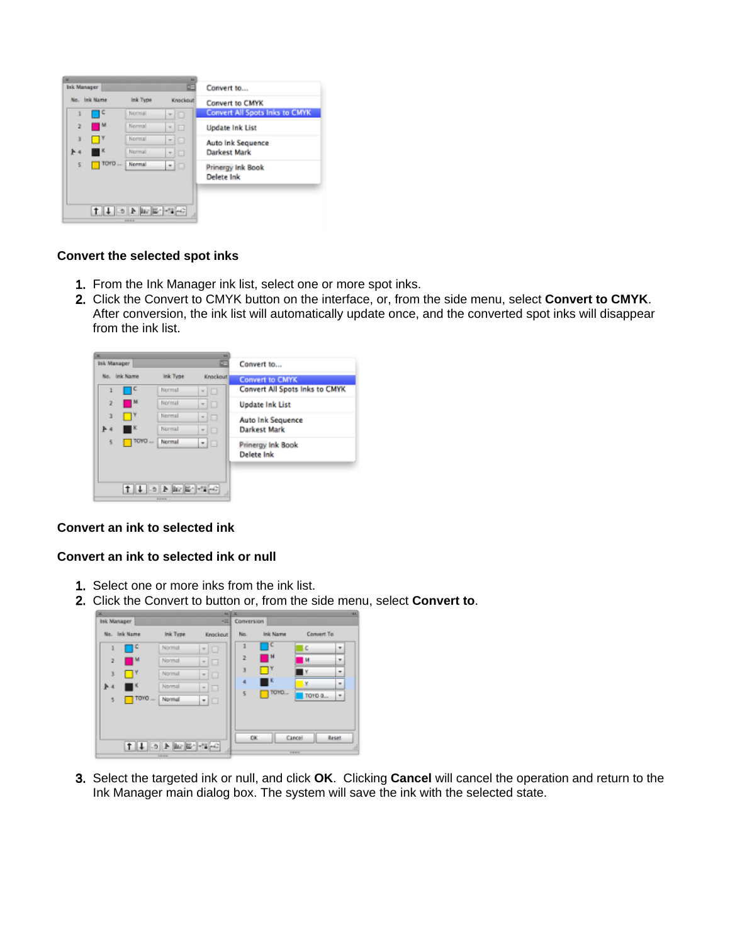

#### **Convert the selected spot inks**

- 1. From the Ink Manager ink list, select one or more spot inks.
- 2. Click the Convert to CMYK button on the interface, or, from the side menu, select **Convert to CMYK**. After conversion, the ink list will automatically update once, and the converted spot inks will disappear from the ink list.



#### **Convert an ink to selected ink**

#### **Convert an ink to selected ink or null**

- 1. Select one or more inks from the ink list.
- 2. Click the Convert to button or, from the side menu, select **Convert to**.

| ×              | Ink Manager  |                     | $+11x$<br>$-1$        | Conversion     |                 |                                |
|----------------|--------------|---------------------|-----------------------|----------------|-----------------|--------------------------------|
|                | No. Ink Name | <b>Ink Type</b>     | Knockout              | No.            | <b>Ink Name</b> | Convert To                     |
| ı              | ٦٥           | Normal              | O<br>$\mathcal{L}$    | ı              | ١C              | C<br>$\boldsymbol{\mathrm{w}}$ |
| $\overline{2}$ | −            | Normal              | <b>*</b> 0            | $\overline{2}$ | ■™              | M<br>٠                         |
| 3              | u۳           | Normal              | o<br>$\overline{\nu}$ | 3              | $\blacksquare$  | ¥<br>۰                         |
| 医石             | ш            | Normal              | - 10                  | A              | ПΚ              | lΥ<br>$\blacksquare$           |
| 5              | $\Box$ TOYO  | Normal              | ▼□                    | 5              | TOYO            | TOYO 0<br>٠                    |
|                |              |                     |                       |                |                 |                                |
|                |              |                     |                       |                |                 |                                |
|                |              | $11.5$ Fig. 2 $4.7$ |                       | <b>OK</b>      |                 | Cancel<br>Reset                |
|                |              |                     |                       |                |                 | 8444                           |

3. Select the targeted ink or null, and click **OK**. Clicking **Cancel** will cancel the operation and return to the Ink Manager main dialog box. The system will save the ink with the selected state.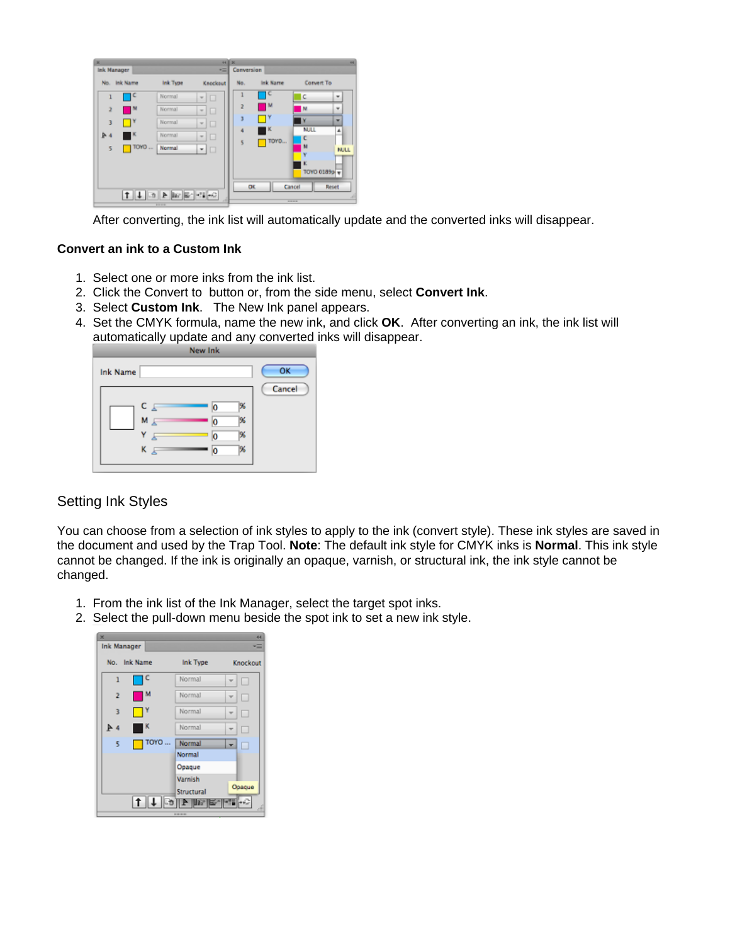| ×                                                       |              |          |                               | 44       | I x        |          |                  | $\overline{\phantom{a}}$ |
|---------------------------------------------------------|--------------|----------|-------------------------------|----------|------------|----------|------------------|--------------------------|
| Ink Manager                                             |              |          |                               | ÷        | Conversion |          |                  |                          |
|                                                         | No. Ink Name | Ink Type |                               | Knockout | No.        | Ink Name | Convert To       |                          |
|                                                         | ⊣⊂           | Normal   | □<br>$\sim$                   |          | 1          | C        | c                | ٠                        |
| 2                                                       | M            | Normal   | $\sim$<br>□                   |          | ž          | M        | M                | ٠                        |
| 3                                                       | ۹۴           | Normal   | □<br>$\omega$                 |          | J          | ι۲       | ٧                | ٠                        |
| $P = 4$                                                 | ш×.          | Normal   | □<br>$\overline{\phantom{a}}$ |          | ۵          | K        | <b>NULL</b><br>L | $\blacktriangle$         |
| 5                                                       | TOYO         | Normal   | -   □                         |          | 5          | TOYO     | м                | <b>NULL</b>              |
|                                                         |              |          |                               |          |            |          | v<br>κ           |                          |
|                                                         |              |          |                               |          |            |          | TOYO 0189p v     |                          |
|                                                         |              |          |                               |          | OK         |          | Cancel           | Reset                    |
| $  \cdot  _2$ $  \cdot  _2$ $  \cdot  _2$ $  \cdot  _2$ |              |          |                               |          |            |          |                  |                          |
|                                                         |              |          |                               |          |            |          | $- - - -$        |                          |

After converting, the ink list will automatically update and the converted inks will disappear.

#### **Convert an ink to a Custom Ink**

- 1. Select one or more inks from the ink list.
- 2. Click the Convert to button or, from the side menu, select **Convert Ink**.
- 3. Select **Custom Ink**. The New Ink panel appears.
- 4. Set the CMYK formula, name the new ink, and click **OK**. After converting an ink, the ink list will automatically update and any converted inks will disappear.

|                 | New Ink                                                                                |              |
|-----------------|----------------------------------------------------------------------------------------|--------------|
| <b>Ink Name</b> |                                                                                        | OK<br>Cancel |
|                 | C F<br>96<br>٥<br>196<br>M <sub>E</sub><br>O<br>96<br>o<br>K <sub>E</sub><br>196<br>۱o |              |

## Setting Ink Styles

You can choose from a selection of ink styles to apply to the ink (convert style). These ink styles are saved in the document and used by the Trap Tool. **Note**: The default ink style for CMYK inks is **Normal**. This ink style cannot be changed. If the ink is originally an opaque, varnish, or structural ink, the ink style cannot be changed.

- 1. From the ink list of the Ink Manager, select the target spot inks.
- 2. Select the pull-down menu beside the spot ink to set a new ink style.

| ×<br><b>Ink Manager</b> |                 | 44<br>Ξ  |  |  |  |
|-------------------------|-----------------|----------|--|--|--|
| <b>Ink Name</b><br>No.  | <b>Ink Type</b> | Knockout |  |  |  |
| c<br>$\mathbf{1}$       | Normal          |          |  |  |  |
| м<br>$\overline{2}$     | Normal          | □<br>w   |  |  |  |
| $\blacksquare$<br>3     | Normal          |          |  |  |  |
| ĸ<br>A                  | Normal          | п        |  |  |  |
| TOYO<br>5               | Normal          | г        |  |  |  |
|                         | Normal          |          |  |  |  |
|                         | Opaque          |          |  |  |  |
|                         | Varnish         |          |  |  |  |
|                         | Structural      | Opaque   |  |  |  |
|                         |                 |          |  |  |  |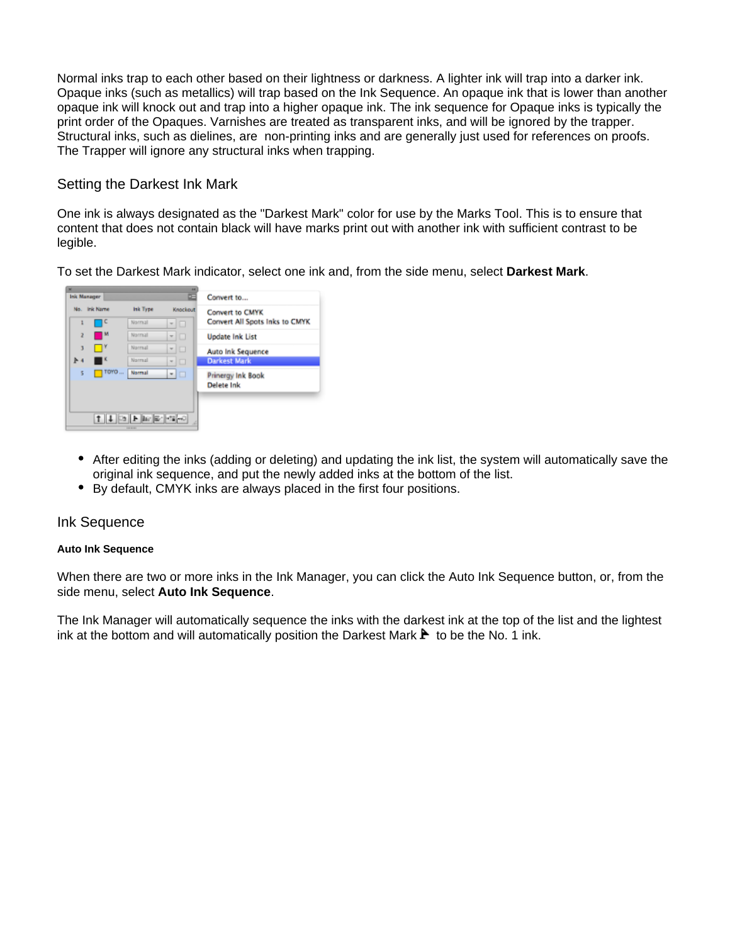Normal inks trap to each other based on their lightness or darkness. A lighter ink will trap into a darker ink. Opaque inks (such as metallics) will trap based on the Ink Sequence. An opaque ink that is lower than another opaque ink will knock out and trap into a higher opaque ink. The ink sequence for Opaque inks is typically the print order of the Opaques. Varnishes are treated as transparent inks, and will be ignored by the trapper. Structural inks, such as dielines, are non-printing inks and are generally just used for references on proofs. The Trapper will ignore any structural inks when trapping.

## Setting the Darkest Ink Mark

One ink is always designated as the "Darkest Mark" color for use by the Marks Tool. This is to ensure that content that does not contain black will have marks print out with another ink with sufficient contrast to be legible.

To set the Darkest Mark indicator, select one ink and, from the side menu, select **Darkest Mark**.



- After editing the inks (adding or deleting) and updating the ink list, the system will automatically save the original ink sequence, and put the newly added inks at the bottom of the list.
- By default, CMYK inks are always placed in the first four positions.

#### Ink Sequence

#### **Auto Ink Sequence**

When there are two or more inks in the Ink Manager, you can click the Auto Ink Sequence button, or, from the side menu, select **Auto Ink Sequence**.

The Ink Manager will automatically sequence the inks with the darkest ink at the top of the list and the lightest ink at the bottom and will automatically position the Darkest Mark  $\blacktriangleright$  to be the No. 1 ink.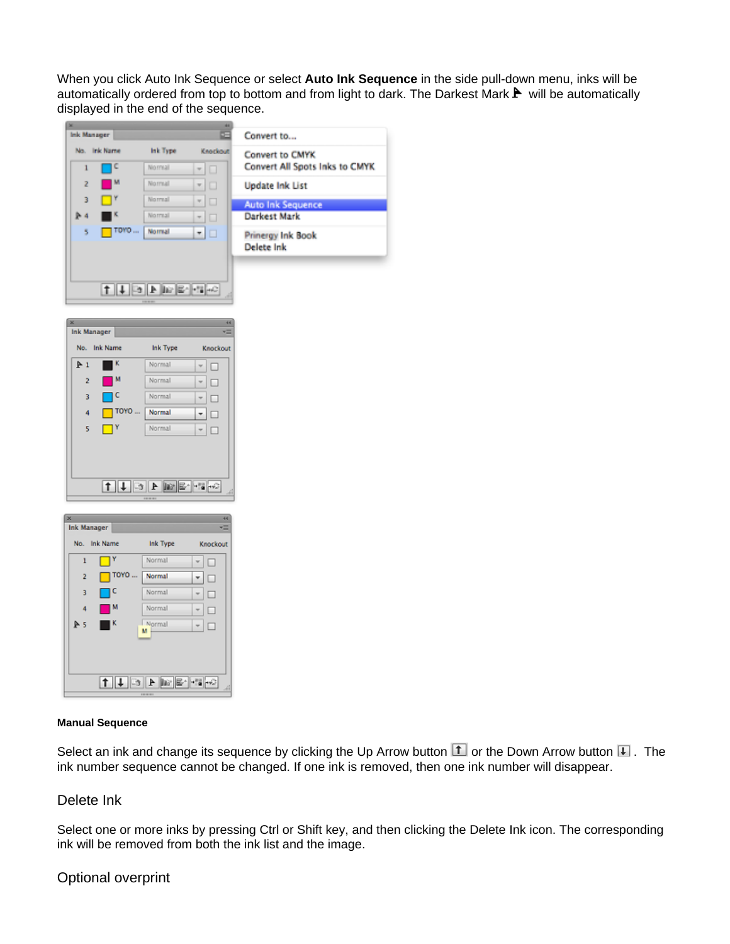When you click Auto Ink Sequence or select **Auto Ink Sequence** in the side pull-down menu, inks will be automatically ordered from top to bottom and from light to dark. The Darkest Mark  $\blacktriangleright$  will be automatically displayed in the end of the sequence.

|     |              |          |              | Convert to        |
|-----|--------------|----------|--------------|-------------------|
|     | No. Ink Name | Ink Type | Knockout     | Convert to        |
| 1   |              | Normal   | $\Box$<br>v. | <b>Convert Al</b> |
| z   |              | Normal   | IП           | <b>Update Ink</b> |
| э   |              | Normal   | □            | Auto Ink S        |
| - 4 |              | Normal   | □            | Darkest Ma        |
| s   | TOYO         | Normal   | H            | Prinergy In       |
|     |              |          |              | Delete Ink        |

Ink Type

Normal

Normal

Normal

Normal

Normal

 $[1] \begin{picture}(150,10) \put(0,0){\line(1,0){10}} \put(15,0){\line(1,0){10}} \put(15,0){\line(1,0){10}} \put(15,0){\line(1,0){10}} \put(15,0){\line(1,0){10}} \put(15,0){\line(1,0){10}} \put(15,0){\line(1,0){10}} \put(15,0){\line(1,0){10}} \put(15,0){\line(1,0){10}} \put(15,0){\line(1,0){10}} \put(15,0){\line(1,0){10}} \put(15,0){$ 

Knockout

 $\mathbf{v}$   $\Box$ 

 $\mathbf{v}$  $\Box$ 

 $\leftarrow$  $\Box$ 

 $\overline{\mathbf{r}}$  $\Box$ 

 $\overline{\phantom{a}}$ 

| Convert to                                        |
|---------------------------------------------------|
| Convert to CMYK<br>Convert All Spots Inks to CMYK |
| <b>Update Ink List</b>                            |
|                                                   |
|                                                   |
| <b>Auto Ink Sequence</b><br>Darkest Mark          |
| Prinergy Ink Book<br>Delete Ink                   |

| ×<br>44<br>Ink Manager                                                                              |              |             |        |          |  |  |  |
|-----------------------------------------------------------------------------------------------------|--------------|-------------|--------|----------|--|--|--|
|                                                                                                     | No. Ink Name | Ink Type    |        | Knockout |  |  |  |
| 1                                                                                                   | Y            | Normal      | $\Box$ |          |  |  |  |
| $\overline{2}$                                                                                      | TOYO         | Normal      | □      |          |  |  |  |
| 3                                                                                                   | ۱C           | Normal      | □      |          |  |  |  |
| 4                                                                                                   | м            | Normal      | $\Box$ |          |  |  |  |
| P <sub>5</sub>                                                                                      | шĸ           | Normal<br>м | $\Box$ |          |  |  |  |
|                                                                                                     |              |             |        |          |  |  |  |
| $\frac{1}{2}$ = $\frac{1}{2}$ = $\frac{1}{2}$ = $\frac{1}{2}$ = $\frac{1}{2}$ = $\frac{1}{2}$<br>zi |              |             |        |          |  |  |  |

#### **Manual Sequence**

Ink Manager No. Ink Name

 $\mathbb{A}1$ 

 $\overline{2}$ 

 $\overline{3}$ 

 $\overline{4}$ 

 $\overline{5}$ 

 $\blacksquare^{\kappa}$ 

 $\blacksquare$  M

ПC

 $\Box^Y$ 

 $\Box$ TOYO ...

Select an ink and change its sequence by clicking the Up Arrow button  $\Box$  or the Down Arrow button  $\Box$ . The ink number sequence cannot be changed. If one ink is removed, then one ink number will disappear.

## Delete Ink

Select one or more inks by pressing Ctrl or Shift key, and then clicking the Delete Ink icon. The corresponding ink will be removed from both the ink list and the image.

## Optional overprint